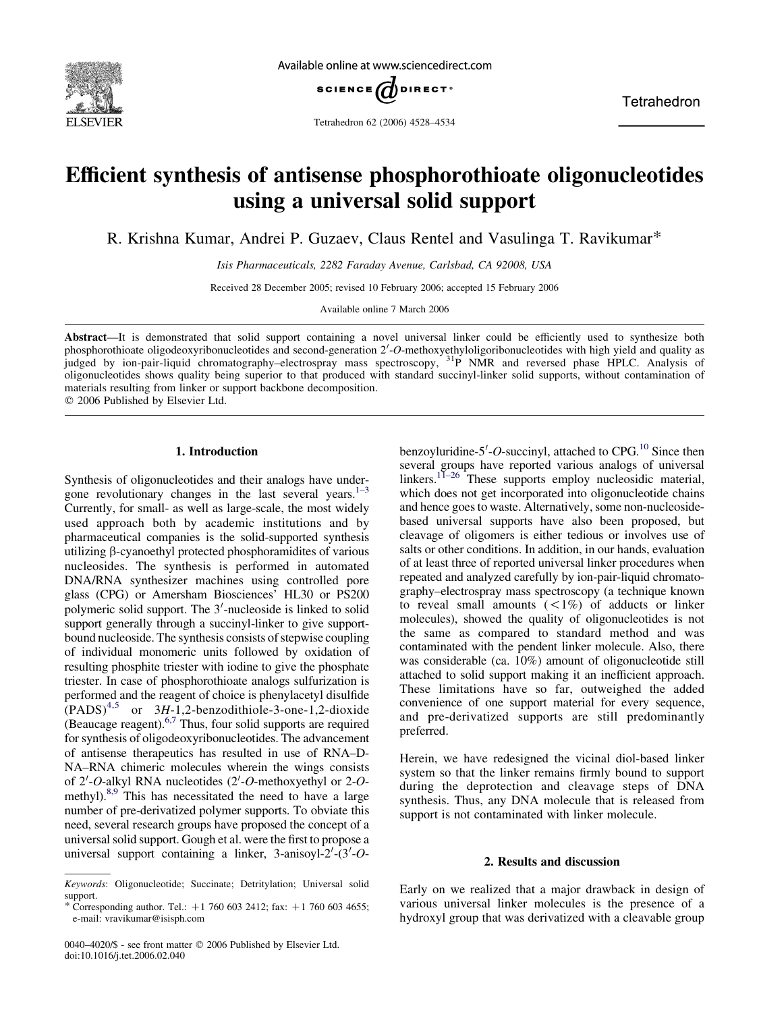

Available online at www.sciencedirect.com



Tetrahedron

Tetrahedron 62 (2006) 4528–4534

# Efficient synthesis of antisense phosphorothioate oligonucleotides using a universal solid support

R. Krishna Kumar, Andrei P. Guzaev, Claus Rentel and Vasulinga T. Ravikumar\*

Isis Pharmaceuticals, 2282 Faraday Avenue, Carlsbad, CA 92008, USA

Received 28 December 2005; revised 10 February 2006; accepted 15 February 2006

Available online 7 March 2006

Abstract—It is demonstrated that solid support containing a novel universal linker could be efficiently used to synthesize both phosphorothioate oligodeoxyribonucleotides and second-generation 2'-O-methoxyethyloligoribonucleotides with high yield and quality as judged by ion-pair-liquid chromatography–electrospray mass spectroscopy, 31P NMR and reversed phase HPLC. Analysis of oligonucleotides shows quality being superior to that produced with standard succinyl-linker solid supports, without contamination of materials resulting from linker or support backbone decomposition.

 $©$  2006 Published by Elsevier Ltd.

## 1. Introduction

Synthesis of oligonucleotides and their analogs have under-gone revolutionary changes in the last several years.<sup>[1–3](#page-6-0)</sup> Currently, for small- as well as large-scale, the most widely used approach both by academic institutions and by pharmaceutical companies is the solid-supported synthesis utilizing b-cyanoethyl protected phosphoramidites of various nucleosides. The synthesis is performed in automated DNA/RNA synthesizer machines using controlled pore glass (CPG) or Amersham Biosciences' HL30 or PS200 polymeric solid support. The  $3'$ -nucleoside is linked to solid support generally through a succinyl-linker to give supportbound nucleoside. The synthesis consists of stepwise coupling of individual monomeric units followed by oxidation of resulting phosphite triester with iodine to give the phosphate triester. In case of phosphorothioate analogs sulfurization is performed and the reagent of choice is phenylacetyl disulfide  $(PADS)^{4,5}$  $(PADS)^{4,5}$  $(PADS)^{4,5}$  or 3H-1,2-benzodithiole-3-one-1,2-dioxide (Beaucage reagent). $6,7$  Thus, four solid supports are required for synthesis of oligodeoxyribonucleotides. The advancement of antisense therapeutics has resulted in use of RNA–D-NA–RNA chimeric molecules wherein the wings consists of 2'-O-alkyl RNA nucleotides (2'-O-methoxyethyl or 2-O-methyl).<sup>[8,9](#page-6-0)</sup> This has necessitated the need to have a large number of pre-derivatized polymer supports. To obviate this need, several research groups have proposed the concept of a universal solid support. Gough et al. were the first to propose a universal support containing a linker, 3-anisoyl- $2'$ - $(3'-0)$ 

benzoyluridine-5'-O-succinyl, attached to CPG. $^{10}$  Since then several groups have reported various analogs of universal linkers.<sup>[11–26](#page-6-0)</sup> These supports employ nucleosidic material, which does not get incorporated into oligonucleotide chains and hence goes to waste. Alternatively, some non-nucleosidebased universal supports have also been proposed, but cleavage of oligomers is either tedious or involves use of salts or other conditions. In addition, in our hands, evaluation of at least three of reported universal linker procedures when repeated and analyzed carefully by ion-pair-liquid chromatography–electrospray mass spectroscopy (a technique known to reveal small amounts  $(<1%)$  of adducts or linker molecules), showed the quality of oligonucleotides is not the same as compared to standard method and was contaminated with the pendent linker molecule. Also, there was considerable (ca. 10%) amount of oligonucleotide still attached to solid support making it an inefficient approach. These limitations have so far, outweighed the added convenience of one support material for every sequence, and pre-derivatized supports are still predominantly preferred.

Herein, we have redesigned the vicinal diol-based linker system so that the linker remains firmly bound to support during the deprotection and cleavage steps of DNA synthesis. Thus, any DNA molecule that is released from support is not contaminated with linker molecule.

# 2. Results and discussion

Early on we realized that a major drawback in design of various universal linker molecules is the presence of a hydroxyl group that was derivatized with a cleavable group

Keywords: Oligonucleotide; Succinate; Detritylation; Universal solid support.

<sup>\*</sup> Corresponding author. Tel.:  $+1$  760 603 2412; fax:  $+1$  760 603 4655; e-mail: vravikumar@isisph.com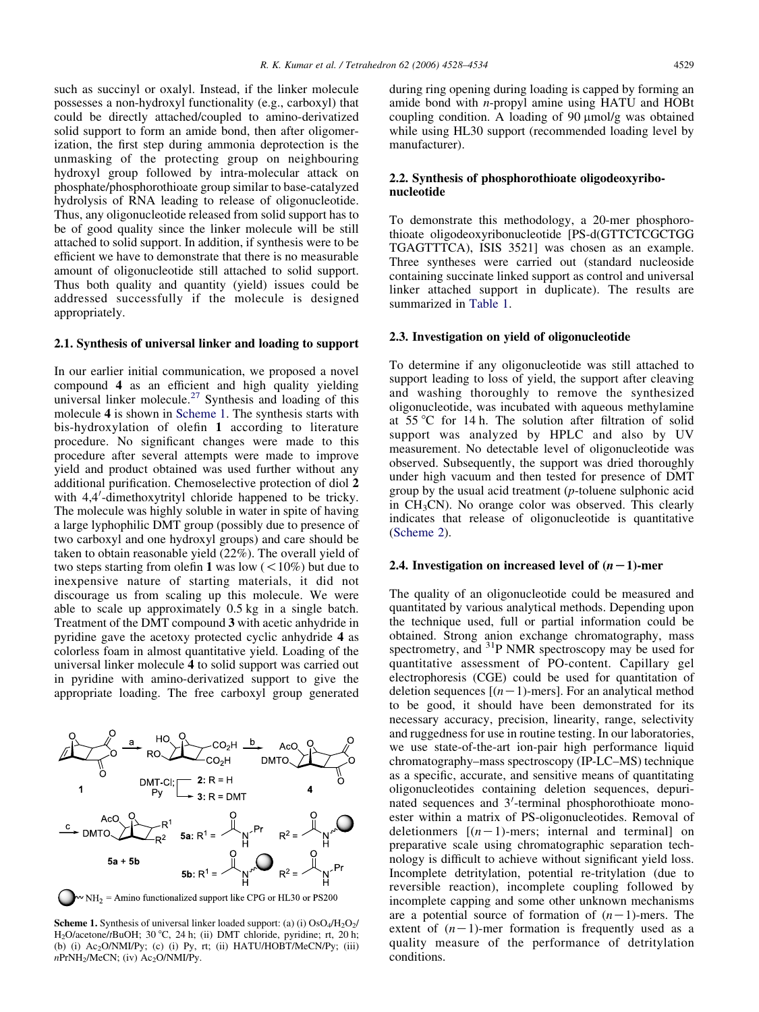such as succinyl or oxalyl. Instead, if the linker molecule possesses a non-hydroxyl functionality (e.g., carboxyl) that could be directly attached/coupled to amino-derivatized solid support to form an amide bond, then after oligomerization, the first step during ammonia deprotection is the unmasking of the protecting group on neighbouring hydroxyl group followed by intra-molecular attack on phosphate/phosphorothioate group similar to base-catalyzed hydrolysis of RNA leading to release of oligonucleotide. Thus, any oligonucleotide released from solid support has to be of good quality since the linker molecule will be still attached to solid support. In addition, if synthesis were to be efficient we have to demonstrate that there is no measurable amount of oligonucleotide still attached to solid support. Thus both quality and quantity (yield) issues could be addressed successfully if the molecule is designed appropriately.

## 2.1. Synthesis of universal linker and loading to support

In our earlier initial communication, we proposed a novel compound 4 as an efficient and high quality yielding universal linker molecule.<sup>[27](#page-6-0)</sup> Synthesis and loading of this molecule 4 is shown in Scheme 1. The synthesis starts with bis-hydroxylation of olefin 1 according to literature procedure. No significant changes were made to this procedure after several attempts were made to improve yield and product obtained was used further without any additional purification. Chemoselective protection of diol 2 with 4,4'-dimethoxytrityl chloride happened to be tricky. The molecule was highly soluble in water in spite of having a large lyphophilic DMT group (possibly due to presence of two carboxyl and one hydroxyl groups) and care should be taken to obtain reasonable yield (22%). The overall yield of two steps starting from olefin 1 was low  $(< 10\%)$  but due to inexpensive nature of starting materials, it did not discourage us from scaling up this molecule. We were able to scale up approximately 0.5 kg in a single batch. Treatment of the DMT compound 3 with acetic anhydride in pyridine gave the acetoxy protected cyclic anhydride 4 as colorless foam in almost quantitative yield. Loading of the universal linker molecule 4 to solid support was carried out in pyridine with amino-derivatized support to give the appropriate loading. The free carboxyl group generated



**Scheme 1.** Synthesis of universal linker loaded support: (a) (i)  $OsO<sub>4</sub>/H<sub>2</sub>O<sub>2</sub>/$ H<sub>2</sub>O/acetone/tBuOH; 30 °C, 24 h; (ii) DMT chloride, pyridine; rt, 20 h; (b) (i)  $Ac_2O/NMI/Py$ ; (c) (i) Py, rt; (ii) HATU/HOBT/MeCN/Py; (iii)  $nPrNH<sub>2</sub>/MeCN$ ; (iv) Ac<sub>2</sub>O/NMI/Py.

during ring opening during loading is capped by forming an amide bond with n-propyl amine using HATU and HOBt coupling condition. A loading of  $90 \mu mol/g$  was obtained while using HL30 support (recommended loading level by manufacturer).

# 2.2. Synthesis of phosphorothioate oligodeoxyribonucleotide

To demonstrate this methodology, a 20-mer phosphorothioate oligodeoxyribonucleotide [PS-d(GTTCTCGCTGG TGAGTTTCA), ISIS 3521] was chosen as an example. Three syntheses were carried out (standard nucleoside containing succinate linked support as control and universal linker attached support in duplicate). The results are summarized in [Table 1](#page-2-0).

# 2.3. Investigation on yield of oligonucleotide

To determine if any oligonucleotide was still attached to support leading to loss of yield, the support after cleaving and washing thoroughly to remove the synthesized oligonucleotide, was incubated with aqueous methylamine at  $55^{\circ}$ C for 14 h. The solution after filtration of solid support was analyzed by HPLC and also by UV measurement. No detectable level of oligonucleotide was observed. Subsequently, the support was dried thoroughly under high vacuum and then tested for presence of DMT group by the usual acid treatment (p-toluene sulphonic acid in  $CH<sub>3</sub>CN$ ). No orange color was observed. This clearly indicates that release of oligonucleotide is quantitative ([Scheme 2\)](#page-2-0).

# 2.4. Investigation on increased level of  $(n-1)$ -mer

The quality of an oligonucleotide could be measured and quantitated by various analytical methods. Depending upon the technique used, full or partial information could be obtained. Strong anion exchange chromatography, mass spectrometry, and <sup>31</sup>P NMR spectroscopy may be used for quantitative assessment of PO-content. Capillary gel electrophoresis (CGE) could be used for quantitation of deletion sequences  $[(n-1)$ -mers]. For an analytical method to be good, it should have been demonstrated for its necessary accuracy, precision, linearity, range, selectivity and ruggedness for use in routine testing. In our laboratories, we use state-of-the-art ion-pair high performance liquid chromatography–mass spectroscopy (IP-LC–MS) technique as a specific, accurate, and sensitive means of quantitating oligonucleotides containing deletion sequences, depurinated sequences and 3'-terminal phosphorothioate monoester within a matrix of PS-oligonucleotides. Removal of deletionmers  $[(n-1)$ -mers; internal and terminal] on preparative scale using chromatographic separation technology is difficult to achieve without significant yield loss. Incomplete detritylation, potential re-tritylation (due to reversible reaction), incomplete coupling followed by incomplete capping and some other unknown mechanisms are a potential source of formation of  $(n-1)$ -mers. The extent of  $(n-1)$ -mer formation is frequently used as a quality measure of the performance of detritylation conditions.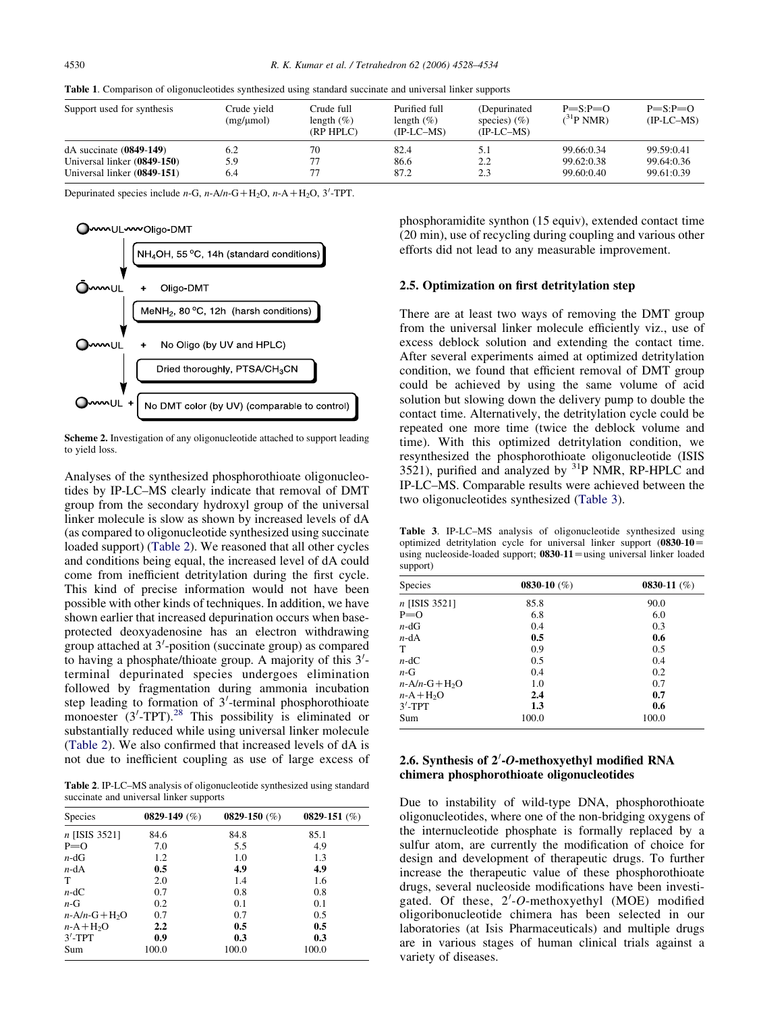<span id="page-2-0"></span>

|  |  |  |  | Table 1. Comparison of oligonucleotides synthesized using standard succinate and universal linker supports |  |  |  |  |  |  |  |
|--|--|--|--|------------------------------------------------------------------------------------------------------------|--|--|--|--|--|--|--|
|--|--|--|--|------------------------------------------------------------------------------------------------------------|--|--|--|--|--|--|--|

| Support used for synthesis  | Crude vield<br>$(mg/\mu mol)$ | Crude full<br>length $(\%)$<br>(RP HPLC) | Purified full<br>length $(\%)$<br>$(IP-LC-MS)$ | (Depurinated)<br>species) $(\% )$<br>$(IP-LC-MS)$ | $P = S: P = O$<br>$(^{31}P NMR)$ | $P = S: P = O$<br>$(IP-LC-MS)$ |
|-----------------------------|-------------------------------|------------------------------------------|------------------------------------------------|---------------------------------------------------|----------------------------------|--------------------------------|
| $dA$ succinate $(0849-149)$ | 6.2                           | 70                                       | 82.4                                           | 5.1                                               | 99.66:0.34                       | 99.59:0.41                     |
| Universal linker (0849-150) | 5.9                           |                                          | 86.6                                           | 2.2                                               | 99.62:0.38                       | 99.64:0.36                     |
| Universal linker (0849-151) | 6.4                           |                                          | 87.2                                           | 2.3                                               | 99.60:0.40                       | 99.61:0.39                     |

Depurinated species include  $n-G$ ,  $n-Aln-G+H_2O$ ,  $n-Al+H_2O$ ,  $3'$ -TPT.



Scheme 2. Investigation of any oligonucleotide attached to support leading to yield loss.

Analyses of the synthesized phosphorothioate oligonucleotides by IP-LC–MS clearly indicate that removal of DMT group from the secondary hydroxyl group of the universal linker molecule is slow as shown by increased levels of dA (as compared to oligonucleotide synthesized using succinate loaded support) (Table 2). We reasoned that all other cycles and conditions being equal, the increased level of dA could come from inefficient detritylation during the first cycle. This kind of precise information would not have been possible with other kinds of techniques. In addition, we have shown earlier that increased depurination occurs when baseprotected deoxyadenosine has an electron withdrawing group attached at 3'-position (succinate group) as compared to having a phosphate/thioate group. A majority of this  $3'$ terminal depurinated species undergoes elimination followed by fragmentation during ammonia incubation step leading to formation of  $3'$ -terminal phosphorothioate monoester  $(3'$ -TPT).<sup>[28](#page-6-0)</sup> This possibility is eliminated or substantially reduced while using universal linker molecule (Table 2). We also confirmed that increased levels of dA is not due to inefficient coupling as use of large excess of

Table 2. IP-LC–MS analysis of oligonucleotide synthesized using standard succinate and universal linker supports

| <b>Species</b>              | 0829-149 $(\%)$  | 0829-150 $(\%)$ | 0829-151 $(\%)$ |
|-----------------------------|------------------|-----------------|-----------------|
| n [ISIS 3521]               | 84.6             | 84.8            | 85.1            |
| $P=0$                       | 7.0              | 5.5             | 4.9             |
| $n-\mathrm{dG}$             | 1.2              | 1.0             | 1.3             |
| $n$ -dA                     | 0.5              | 4.9             | 4.9             |
| Т                           | 2.0              | 1.4             | 1.6             |
| $n-\mathrm{dC}$             | 0.7              | 0.8             | 0.8             |
| $n-G$                       | 0.2              | 0.1             | 0.1             |
| $n$ -A/n-G+H <sub>2</sub> O | 0.7              | 0.7             | 0.5             |
| $n-A+H2O$                   | $2.2\phantom{0}$ | 0.5             | 0.5             |
| $3'$ -TPT                   | 0.9              | 0.3             | 0.3             |
| Sum                         | 100.0            | 100.0           | 100.0           |

phosphoramidite synthon (15 equiv), extended contact time (20 min), use of recycling during coupling and various other efforts did not lead to any measurable improvement.

## 2.5. Optimization on first detritylation step

There are at least two ways of removing the DMT group from the universal linker molecule efficiently viz., use of excess deblock solution and extending the contact time. After several experiments aimed at optimized detritylation condition, we found that efficient removal of DMT group could be achieved by using the same volume of acid solution but slowing down the delivery pump to double the contact time. Alternatively, the detritylation cycle could be repeated one more time (twice the deblock volume and time). With this optimized detritylation condition, we resynthesized the phosphorothioate oligonucleotide (ISIS 3521), purified and analyzed by  ${}^{31}P$  NMR, RP-HPLC and IP-LC–MS. Comparable results were achieved between the two oligonucleotides synthesized (Table 3).

Table 3. IP-LC–MS analysis of oligonucleotide synthesized using optimized detritylation cycle for universal linker support  $(0830-10=$ using nucleoside-loaded support;  $0830-11$  = using universal linker loaded support)

| <b>Species</b>           | 0830-10 $(\%)$ | 0830-11 $(\%)$ |
|--------------------------|----------------|----------------|
| $n$ [ISIS 3521]          | 85.8           | 90.0           |
| $P=0$                    | 6.8            | 6.0            |
| $n-\mathrm{d}\mathrm{G}$ | 0.4            | 0.3            |
| $n-dA$                   | 0.5            | 0.6            |
| T                        | 0.9            | 0.5            |
| $n-\mathrm{dC}$          | 0.5            | 0.4            |
| $n-G$                    | 0.4            | 0.2            |
| $n-A/n-G+H2O$            | 1.0            | 0.7            |
| $n-A+H2O$                | 2.4            | 0.7            |
| $3'$ -TPT                | 1.3            | 0.6            |
| Sum                      | 100.0          | 100.0          |

# 2.6. Synthesis of  $2'-O$ -methoxyethyl modified RNA chimera phosphorothioate oligonucleotides

Due to instability of wild-type DNA, phosphorothioate oligonucleotides, where one of the non-bridging oxygens of the internucleotide phosphate is formally replaced by a sulfur atom, are currently the modification of choice for design and development of therapeutic drugs. To further increase the therapeutic value of these phosphorothioate drugs, several nucleoside modifications have been investigated. Of these, 2'-O-methoxyethyl (MOE) modified oligoribonucleotide chimera has been selected in our laboratories (at Isis Pharmaceuticals) and multiple drugs are in various stages of human clinical trials against a variety of diseases.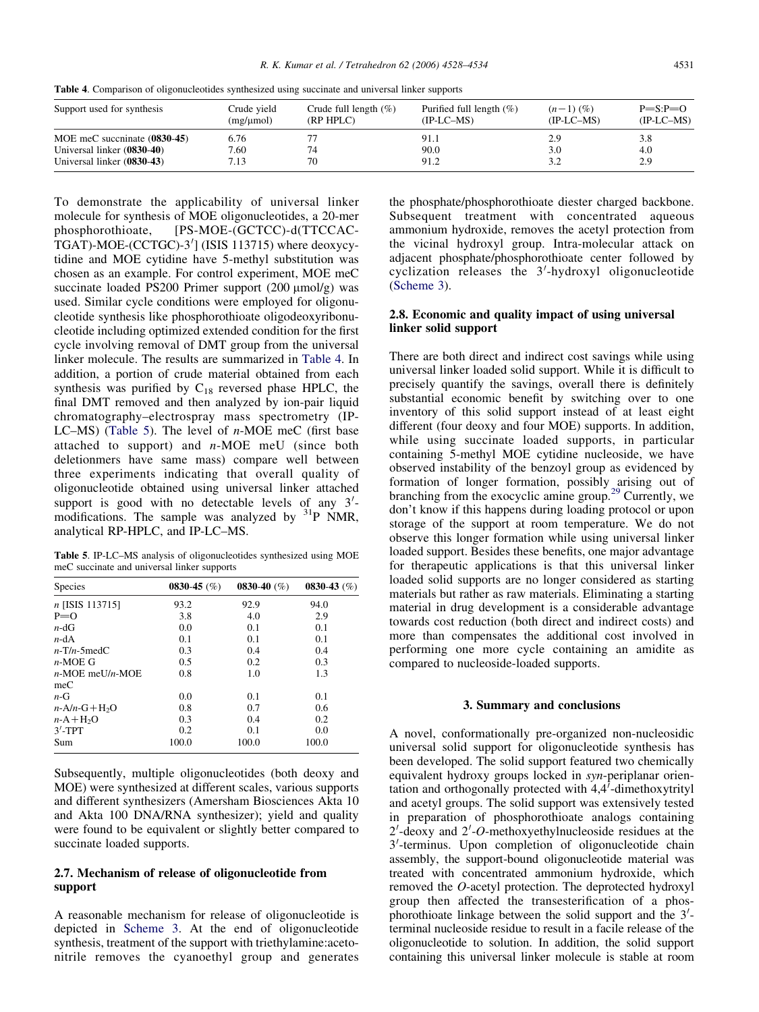Table 4. Comparison of oligonucleotides synthesized using succinate and universal linker supports

| Support used for synthesis   | Crude vield<br>$(mg/\mu mol)$ | Crude full length $(\%)$<br>(RP HPLC) | Purified full length $(\%)$<br>$(IP-LC-MS)$ | $(n-1)$ $(\%)$<br>$(IP-LC-MS)$ | $P = S: P = O$<br>$(IP-LC-MS)$ |
|------------------------------|-------------------------------|---------------------------------------|---------------------------------------------|--------------------------------|--------------------------------|
| MOE meC succninate (0830-45) | 6.76                          |                                       | 91.1                                        | 2.9                            | 3.8                            |
| Universal linker (0830-40)   | 7.60                          | 74                                    | 90.0                                        | 3.0                            | 4.0                            |
| Universal linker (0830-43)   | 7.13                          | 70                                    | 91.2                                        | 3.2                            | 2.9                            |

To demonstrate the applicability of universal linker molecule for synthesis of MOE oligonucleotides, a 20-mer phosphorothioate, [PS-MOE-(GCTCC)-d(TTCCAC- $TGAT$ )-MOE-(CCTGC)-3 $'$ ] (ISIS 113715) where deoxycytidine and MOE cytidine have 5-methyl substitution was chosen as an example. For control experiment, MOE meC succinate loaded PS200 Primer support  $(200 \mu mol/g)$  was used. Similar cycle conditions were employed for oligonucleotide synthesis like phosphorothioate oligodeoxyribonucleotide including optimized extended condition for the first cycle involving removal of DMT group from the universal linker molecule. The results are summarized in Table 4. In addition, a portion of crude material obtained from each synthesis was purified by  $C_{18}$  reversed phase HPLC, the final DMT removed and then analyzed by ion-pair liquid chromatography–electrospray mass spectrometry (IP-LC–MS) (Table 5). The level of  $n$ -MOE meC (first base attached to support) and  $n-MOE$  meU (since both deletionmers have same mass) compare well between three experiments indicating that overall quality of oligonucleotide obtained using universal linker attached support is good with no detectable levels of any  $3'$ modifications. The sample was analyzed by  $31P$  NMR, analytical RP-HPLC, and IP-LC–MS.

Table 5. IP-LC–MS analysis of oligonucleotides synthesized using MOE meC succinate and universal linker supports

| Species                     | 0830-45 $(\%)$ | 0830-40 $(\%)$ | 0830-43 $(\%)$ |
|-----------------------------|----------------|----------------|----------------|
| n [ISIS 113715]             | 93.2           | 92.9           | 94.0           |
| $P=0$                       | 3.8            | 4.0            | 2.9            |
| $n-\mathrm{d}\mathrm{G}$    | 0.0            | 0.1            | 0.1            |
| $n-dA$                      | 0.1            | 0.1            | 0.1            |
| $n-T/n-5$ med $C$           | 0.3            | 0.4            | 0.4            |
| $n-MOE$ G                   | 0.5            | 0.2            | 0.3            |
| $n-MOE$ meU/n-MOE           | 0.8            | 1.0            | 1.3            |
| meC                         |                |                |                |
| $n-G$                       | 0.0            | 0.1            | 0.1            |
| $n$ -A/n-G+H <sub>2</sub> O | 0.8            | 0.7            | 0.6            |
| $n-A+H2O$                   | 0.3            | 0.4            | 0.2            |
| $3'$ -TPT                   | 0.2            | 0.1            | 0.0            |
| Sum                         | 100.0          | 100.0          | 100.0          |

Subsequently, multiple oligonucleotides (both deoxy and MOE) were synthesized at different scales, various supports and different synthesizers (Amersham Biosciences Akta 10 and Akta 100 DNA/RNA synthesizer); yield and quality were found to be equivalent or slightly better compared to succinate loaded supports.

# 2.7. Mechanism of release of oligonucleotide from support

A reasonable mechanism for release of oligonucleotide is depicted in [Scheme 3](#page-4-0). At the end of oligonucleotide synthesis, treatment of the support with triethylamine:acetonitrile removes the cyanoethyl group and generates the phosphate/phosphorothioate diester charged backbone. Subsequent treatment with concentrated aqueous ammonium hydroxide, removes the acetyl protection from the vicinal hydroxyl group. Intra-molecular attack on adjacent phosphate/phosphorothioate center followed by cyclization releases the 3'-hydroxyl oligonucleotide ([Scheme 3\)](#page-4-0).

# 2.8. Economic and quality impact of using universal linker solid support

There are both direct and indirect cost savings while using universal linker loaded solid support. While it is difficult to precisely quantify the savings, overall there is definitely substantial economic benefit by switching over to one inventory of this solid support instead of at least eight different (four deoxy and four MOE) supports. In addition, while using succinate loaded supports, in particular containing 5-methyl MOE cytidine nucleoside, we have observed instability of the benzoyl group as evidenced by formation of longer formation, possibly arising out of branching from the exocyclic amine group.[29](#page-6-0) Currently, we don't know if this happens during loading protocol or upon storage of the support at room temperature. We do not observe this longer formation while using universal linker loaded support. Besides these benefits, one major advantage for therapeutic applications is that this universal linker loaded solid supports are no longer considered as starting materials but rather as raw materials. Eliminating a starting material in drug development is a considerable advantage towards cost reduction (both direct and indirect costs) and more than compensates the additional cost involved in performing one more cycle containing an amidite as compared to nucleoside-loaded supports.

## 3. Summary and conclusions

A novel, conformationally pre-organized non-nucleosidic universal solid support for oligonucleotide synthesis has been developed. The solid support featured two chemically equivalent hydroxy groups locked in syn-periplanar orientation and orthogonally protected with  $4,4^{\prime}$ -dimethoxytrityl and acetyl groups. The solid support was extensively tested in preparation of phosphorothioate analogs containing  $2'$ -deoxy and  $2'$ -O-methoxyethylnucleoside residues at the 3'-terminus. Upon completion of oligonucleotide chain assembly, the support-bound oligonucleotide material was treated with concentrated ammonium hydroxide, which removed the O-acetyl protection. The deprotected hydroxyl group then affected the transesterification of a phosphorothioate linkage between the solid support and the  $3'$ terminal nucleoside residue to result in a facile release of the oligonucleotide to solution. In addition, the solid support containing this universal linker molecule is stable at room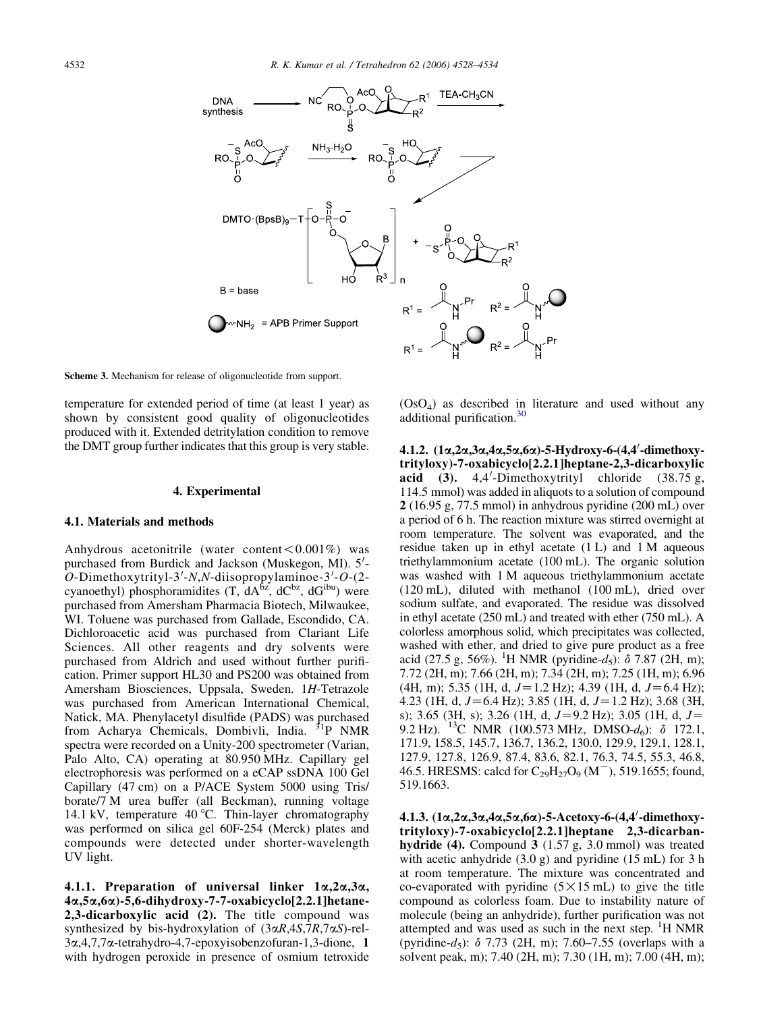<span id="page-4-0"></span>

Scheme 3. Mechanism for release of oligonucleotide from support.

temperature for extended period of time (at least 1 year) as shown by consistent good quality of oligonucleotides produced with it. Extended detritylation condition to remove the DMT group further indicates that this group is very stable.

#### 4. Experimental

#### 4.1. Materials and methods

Anhydrous acetonitrile (water content  $\lt 0.001\%$ ) was purchased from Burdick and Jackson (Muskegon, MI). 5'- $O$ -Dimethoxytrityl-3'-N,N-diisopropylaminoe-3'- $O$ -(2cyanoethyl) phosphoramidites  $(T, dA^{bz}, dC^{bz}, dG^{ibu})$  were purchased from Amersham Pharmacia Biotech, Milwaukee, WI. Toluene was purchased from Gallade, Escondido, CA. Dichloroacetic acid was purchased from Clariant Life Sciences. All other reagents and dry solvents were purchased from Aldrich and used without further purification. Primer support HL30 and PS200 was obtained from Amersham Biosciences, Uppsala, Sweden. 1H-Tetrazole was purchased from American International Chemical, Natick, MA. Phenylacetyl disulfide (PADS) was purchased from Acharya Chemicals, Dombivli, India. 31P NMR spectra were recorded on a Unity-200 spectrometer (Varian, Palo Alto, CA) operating at 80.950 MHz. Capillary gel electrophoresis was performed on a eCAP ssDNA 100 Gel Capillary (47 cm) on a P/ACE System 5000 using Tris/ borate/7 M urea buffer (all Beckman), running voltage 14.1 kV, temperature 40 °C. Thin-layer chromatography was performed on silica gel 60F-254 (Merck) plates and compounds were detected under shorter-wavelength UV light.

4.1.1. Preparation of universal linker  $1\alpha, 2\alpha, 3\alpha$ , 4a,5a,6a)-5,6-dihydroxy-7-7-oxabicyclo[2.2.1]hetane-2,3-dicarboxylic acid (2). The title compound was synthesized by bis-hydroxylation of  $(3\alpha R, 4S, 7R, 7\alpha S)$ -rel-3a,4,7,7a-tetrahydro-4,7-epoxyisobenzofuran-1,3-dione, 1 with hydrogen peroxide in presence of osmium tetroxide

 $(OsO<sub>4</sub>)$  as described in literature and used without any additional purification.[30](#page-6-0)

4.1.2. (1α,2α,3α,4α,5α,6α)-5-Hydroxy-6-(4,4'-dimethoxytrityloxy)-7-oxabicyclo[2.2.1]heptane-2,3-dicarboxylic acid  $(3)$ . 4,4'-Dimethoxytrityl chloride  $(38.75 \text{ g})$ , 114.5 mmol) was added in aliquots to a solution of compound 2 (16.95 g, 77.5 mmol) in anhydrous pyridine (200 mL) over a period of 6 h. The reaction mixture was stirred overnight at room temperature. The solvent was evaporated, and the residue taken up in ethyl acetate (1 L) and 1 M aqueous triethylammonium acetate (100 mL). The organic solution was washed with 1 M aqueous triethylammonium acetate (120 mL), diluted with methanol (100 mL), dried over sodium sulfate, and evaporated. The residue was dissolved in ethyl acetate (250 mL) and treated with ether (750 mL). A colorless amorphous solid, which precipitates was collected, washed with ether, and dried to give pure product as a free acid (27.5 g, 56%). <sup>1</sup>H NMR (pyridine-d<sub>5</sub>):  $\delta$  7.87 (2H, m); 7.72 (2H, m); 7.66 (2H, m); 7.34 (2H, m); 7.25 (1H, m); 6.96 (4H, m); 5.35 (1H, d,  $J=1.2$  Hz); 4.39 (1H, d,  $J=6.4$  Hz); 4.23 (1H, d,  $J=6.4$  Hz); 3.85 (1H, d,  $J=1.2$  Hz); 3.68 (3H, s); 3.65 (3H, s); 3.26 (1H, d,  $J=9.2$  Hz); 3.05 (1H, d,  $J=$ 9.2 Hz). <sup>13</sup>C NMR (100.573 MHz, DMSO- $d_6$ ):  $\delta$  172.1, 171.9, 158.5, 145.7, 136.7, 136.2, 130.0, 129.9, 129.1, 128.1, 127.9, 127.8, 126.9, 87.4, 83.6, 82.1, 76.3, 74.5, 55.3, 46.8, 46.5. HRESMS: calcd for  $C_{29}H_{27}O_9$  (M<sup>-</sup>), 519.1655; found, 519.1663.

4.1.3. (1α,2α,3α,4α,5α,6α)-5-Acetoxy-6-(4,4'-dimethoxytrityloxy)-7-oxabicyclo[2.2.1]heptane 2,3-dicarbanhydride (4). Compound 3 (1.57 g, 3.0 mmol) was treated with acetic anhydride  $(3.0 \text{ g})$  and pyridine  $(15 \text{ mL})$  for 3 h at room temperature. The mixture was concentrated and co-evaporated with pyridine  $(5 \times 15 \text{ mL})$  to give the title compound as colorless foam. Due to instability nature of molecule (being an anhydride), further purification was not attempted and was used as such in the next step. <sup>1</sup>H NMR (pyridine-d<sub>5</sub>):  $\delta$  7.73 (2H, m); 7.60–7.55 (overlaps with a solvent peak, m); 7.40 (2H, m); 7.30 (1H, m); 7.00 (4H, m);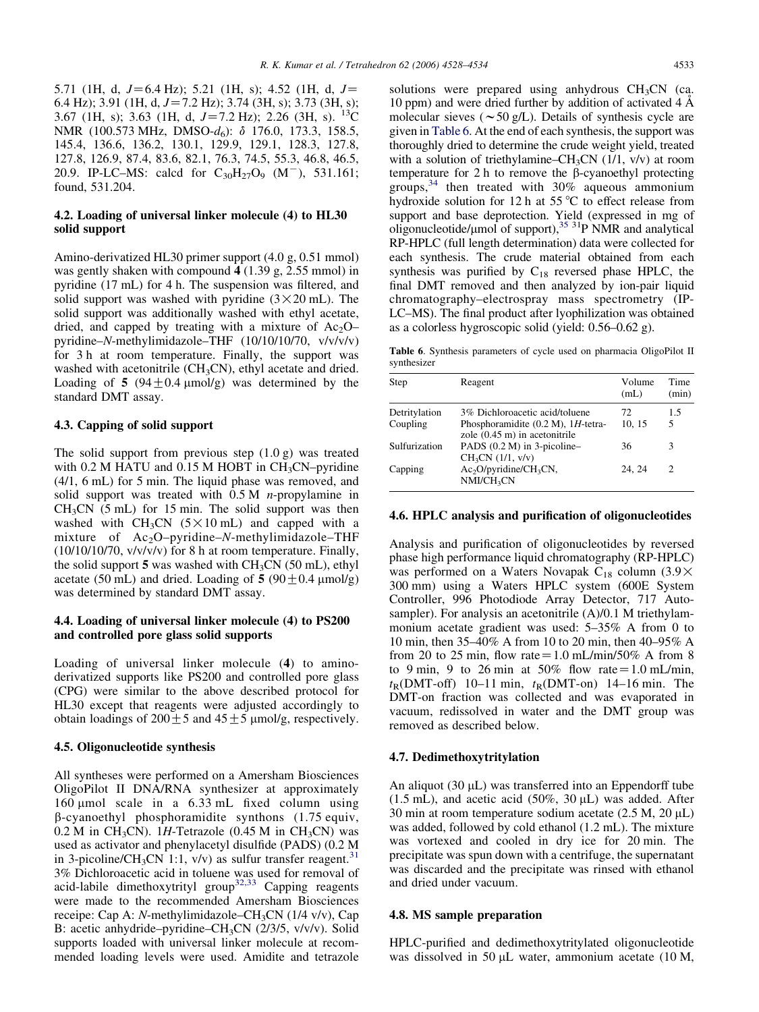5.71 (1H, d,  $J=6.4$  Hz); 5.21 (1H, s); 4.52 (1H, d,  $J=$ 6.4 Hz); 3.91 (1H, d,  $J=7.2$  Hz); 3.74 (3H, s); 3.73 (3H, s); 3.67 (1H, s); 3.63 (1H, d,  $J=7.2$  Hz); 2.26 (3H, s). <sup>13</sup>C NMR (100.573 MHz, DMSO-d<sub>6</sub>): δ 176.0, 173.3, 158.5, 145.4, 136.6, 136.2, 130.1, 129.9, 129.1, 128.3, 127.8, 127.8, 126.9, 87.4, 83.6, 82.1, 76.3, 74.5, 55.3, 46.8, 46.5, 20.9. IP-LC–MS: calcd for  $C_{30}H_{27}O_9$  (M<sup>-</sup>), 531.161; found, 531.204.

# 4.2. Loading of universal linker molecule (4) to HL30 solid support

Amino-derivatized HL30 primer support (4.0 g, 0.51 mmol) was gently shaken with compound 4 (1.39 g, 2.55 mmol) in pyridine (17 mL) for 4 h. The suspension was filtered, and solid support was washed with pyridine  $(3 \times 20 \text{ mL})$ . The solid support was additionally washed with ethyl acetate, dried, and capped by treating with a mixture of  $Ac_2O$ pyridine–N-methylimidazole–THF (10/10/10/70, v/v/v/v) for 3 h at room temperature. Finally, the support was washed with acetonitrile (CH<sub>3</sub>CN), ethyl acetate and dried. Loading of 5 (94 $\pm$ 0.4 µmol/g) was determined by the standard DMT assay.

# 4.3. Capping of solid support

The solid support from previous step (1.0 g) was treated with  $0.2$  M HATU and  $0.15$  M HOBT in CH<sub>3</sub>CN–pyridine (4/1, 6 mL) for 5 min. The liquid phase was removed, and solid support was treated with  $0.5 M$  *n*-propylamine in  $CH<sub>3</sub>CN$  (5 mL) for 15 min. The solid support was then washed with  $CH_3CN$  (5 $\times$ 10 mL) and capped with a mixture of Ac<sub>2</sub>O-pyridine-N-methylimidazole-THF (10/10/10/70, v/v/v/v) for 8 h at room temperature. Finally, the solid support 5 was washed with  $CH<sub>3</sub>CN$  (50 mL), ethyl acetate (50 mL) and dried. Loading of 5 (90  $\pm$  0.4  $\mu$ mol/g) was determined by standard DMT assay.

# 4.4. Loading of universal linker molecule (4) to PS200 and controlled pore glass solid supports

Loading of universal linker molecule (4) to aminoderivatized supports like PS200 and controlled pore glass (CPG) were similar to the above described protocol for HL30 except that reagents were adjusted accordingly to obtain loadings of  $200 \pm 5$  and  $45 \pm 5$  µmol/g, respectively.

## 4.5. Oligonucleotide synthesis

All syntheses were performed on a Amersham Biosciences OligoPilot II DNA/RNA synthesizer at approximately 160  $\mu$ mol scale in a 6.33 mL fixed column using  $\beta$ -cyanoethyl phosphoramidite synthons (1.75 equiv,  $0.2$  M in CH<sub>3</sub>CN). 1H-Tetrazole (0.45 M in CH<sub>3</sub>CN) was used as activator and phenylacetyl disulfide (PADS) (0.2 M in 3-picoline/CH<sub>3</sub>CN 1:1,  $v/v$ ) as sulfur transfer reagent.<sup>[31](#page-6-0)</sup> 3% Dichloroacetic acid in toluene was used for removal of acid-labile dimethoxytrityl group<sup>[32,33](#page-6-0)</sup> Capping reagents were made to the recommended Amersham Biosciences receipe: Cap A: N-methylimidazole–CH<sub>3</sub>CN (1/4 v/v), Cap B: acetic anhydride–pyridine–CH3CN (2/3/5, v/v/v). Solid supports loaded with universal linker molecule at recommended loading levels were used. Amidite and tetrazole

solutions were prepared using anhydrous  $CH<sub>3</sub>CN$  (ca. 10 ppm) and were dried further by addition of activated 4 A˚ molecular sieves ( $\sim$  50 g/L). Details of synthesis cycle are given in Table 6. At the end of each synthesis, the support was thoroughly dried to determine the crude weight yield, treated with a solution of triethylamine–CH<sub>3</sub>CN (1/1, v/v) at room temperature for 2 h to remove the  $\beta$ -cyanoethyl protecting groups,  $34$  then treated with  $30\%$  aqueous ammonium hydroxide solution for 12 h at 55  $\degree$ C to effect release from support and base deprotection. Yield (expressed in mg of oligonucleotide/ $\mu$ mol of support),<sup>[35](#page-6-0) 31</sup>P NMR and analytical RP-HPLC (full length determination) data were collected for each synthesis. The crude material obtained from each synthesis was purified by  $C_{18}$  reversed phase HPLC, the final DMT removed and then analyzed by ion-pair liquid chromatography–electrospray mass spectrometry (IP-LC–MS). The final product after lyophilization was obtained as a colorless hygroscopic solid (yield: 0.56–0.62 g).

Table 6. Synthesis parameters of cycle used on pharmacia OligoPilot II synthesizer

| Step          | Reagent                                                                          | Volume<br>(mL) | Time<br>(min)                 |
|---------------|----------------------------------------------------------------------------------|----------------|-------------------------------|
| Detritylation | 3% Dichloroacetic acid/toluene                                                   | 72             | 1.5                           |
| Coupling      | Phosphoramidite $(0.2 M)$ , 1H-tetra-<br>zole $(0.45 \text{ m})$ in acetonitrile | 10, 15         | 5                             |
| Sulfurization | PADS (0.2 M) in 3-picoline-<br>CH <sub>3</sub> CN (1/1, v/v)                     | 36             | 3                             |
| Capping       | $Ac_2O/pyridine/CH_3CN$ ,<br>$NMI/CH_3CN$                                        | 24.24          | $\mathfrak{D}_{\mathfrak{p}}$ |

# 4.6. HPLC analysis and purification of oligonucleotides

Analysis and purification of oligonucleotides by reversed phase high performance liquid chromatography (RP-HPLC) was performed on a Waters Novapak  $C_{18}$  column (3.9 $\times$ 300 mm) using a Waters HPLC system (600E System Controller, 996 Photodiode Array Detector, 717 Autosampler). For analysis an acetonitrile  $(A)/0.1$  M triethylammonium acetate gradient was used: 5–35% A from 0 to 10 min, then 35–40% A from 10 to 20 min, then 40–95% A from 20 to 25 min, flow rate  $= 1.0$  mL/min/50% A from 8 to 9 min, 9 to 26 min at 50% flow rate =  $1.0$  mL/min,  $t_{\rm R}$ (DMT-off) 10–11 min,  $t_{\rm R}$ (DMT-on) 14–16 min. The DMT-on fraction was collected and was evaporated in vacuum, redissolved in water and the DMT group was removed as described below.

#### 4.7. Dedimethoxytritylation

An aliquot  $(30 \mu L)$  was transferred into an Eppendorff tube  $(1.5 \text{ mL})$ , and acetic acid  $(50\%, 30 \text{ uL})$  was added. After 30 min at room temperature sodium acetate  $(2.5 M, 20 \mu L)$ was added, followed by cold ethanol (1.2 mL). The mixture was vortexed and cooled in dry ice for 20 min. The precipitate was spun down with a centrifuge, the supernatant was discarded and the precipitate was rinsed with ethanol and dried under vacuum.

#### 4.8. MS sample preparation

HPLC-purified and dedimethoxytritylated oligonucleotide was dissolved in 50  $\mu$ L water, ammonium acetate (10 M,